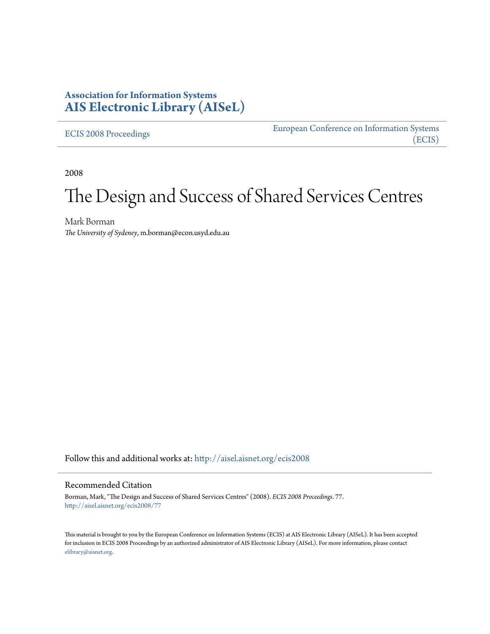## **Association for Information Systems [AIS Electronic Library \(AISeL\)](http://aisel.aisnet.org?utm_source=aisel.aisnet.org%2Fecis2008%2F77&utm_medium=PDF&utm_campaign=PDFCoverPages)**

[ECIS 2008 Proceedings](http://aisel.aisnet.org/ecis2008?utm_source=aisel.aisnet.org%2Fecis2008%2F77&utm_medium=PDF&utm_campaign=PDFCoverPages)

[European Conference on Information Systems](http://aisel.aisnet.org/ecis?utm_source=aisel.aisnet.org%2Fecis2008%2F77&utm_medium=PDF&utm_campaign=PDFCoverPages) [\(ECIS\)](http://aisel.aisnet.org/ecis?utm_source=aisel.aisnet.org%2Fecis2008%2F77&utm_medium=PDF&utm_campaign=PDFCoverPages)

2008

# The Design and Success of Shared Services Centres

Mark Borman *The University of Sydeney*, m.borman@econ.usyd.edu.au

Follow this and additional works at: [http://aisel.aisnet.org/ecis2008](http://aisel.aisnet.org/ecis2008?utm_source=aisel.aisnet.org%2Fecis2008%2F77&utm_medium=PDF&utm_campaign=PDFCoverPages)

#### Recommended Citation

Borman, Mark, "The Design and Success of Shared Services Centres" (2008). *ECIS 2008 Proceedings*. 77. [http://aisel.aisnet.org/ecis2008/77](http://aisel.aisnet.org/ecis2008/77?utm_source=aisel.aisnet.org%2Fecis2008%2F77&utm_medium=PDF&utm_campaign=PDFCoverPages)

This material is brought to you by the European Conference on Information Systems (ECIS) at AIS Electronic Library (AISeL). It has been accepted for inclusion in ECIS 2008 Proceedings by an authorized administrator of AIS Electronic Library (AISeL). For more information, please contact [elibrary@aisnet.org.](mailto:elibrary@aisnet.org%3E)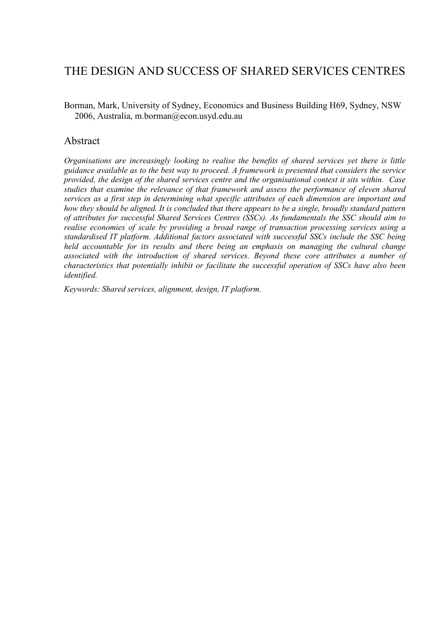# THE DESIGN AND SUCCESS OF SHARED SERVICES CENTRES

Borman, Mark, University of Sydney, Economics and Business Building H69, Sydney, NSW 2006, Australia, m.borman@econ.usyd.edu.au

### Abstract

*Organisations are increasingly looking to realise the benefits of shared services yet there is little guidance available as to the best way to proceed. A framework is presented that considers the service provided, the design of the shared services centre and the organisational context it sits within. Case studies that examine the relevance of that framework and assess the performance of eleven shared services as a first step in determining what specific attributes of each dimension are important and how they should be aligned. It is concluded that there appears to be a single, broadly standard pattern of attributes for successful Shared Services Centres (SSCs). As fundamentals the SSC should aim to realise economies of scale by providing a broad range of transaction processing services using a standardised IT platform. Additional factors associated with successful SSCs include the SSC being held accountable for its results and there being an emphasis on managing the cultural change associated with the introduction of shared services. Beyond these core attributes a number of characteristics that potentially inhibit or facilitate the successful operation of SSCs have also been identified.* 

*Keywords: Shared services, alignment, design, IT platform.*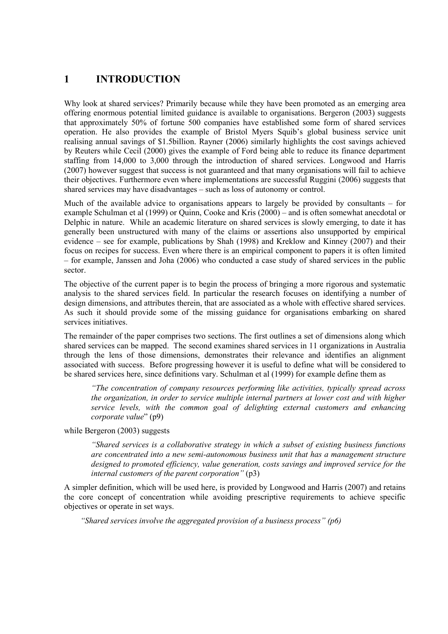## **1 INTRODUCTION**

Why look at shared services? Primarily because while they have been promoted as an emerging area offering enormous potential limited guidance is available to organisations. Bergeron (2003) suggests that approximately 50% of fortune 500 companies have established some form of shared services operation. He also provides the example of Bristol Myers Squib's global business service unit realising annual savings of \$1.5billion. Rayner (2006) similarly highlights the cost savings achieved by Reuters while Cecil (2000) gives the example of Ford being able to reduce its finance department staffing from 14,000 to 3,000 through the introduction of shared services. Longwood and Harris (2007) however suggest that success is not guaranteed and that many organisations will fail to achieve their objectives. Furthermore even where implementations are successful Ruggini (2006) suggests that shared services may have disadvantages – such as loss of autonomy or control.

Much of the available advice to organisations appears to largely be provided by consultants – for example Schulman et al (1999) or Quinn, Cooke and Kris (2000) – and is often somewhat anecdotal or Delphic in nature. While an academic literature on shared services is slowly emerging, to date it has generally been unstructured with many of the claims or assertions also unsupported by empirical evidence – see for example, publications by Shah (1998) and Kreklow and Kinney (2007) and their focus on recipes for success. Even where there is an empirical component to papers it is often limited – for example, Janssen and Joha (2006) who conducted a case study of shared services in the public sector.

The objective of the current paper is to begin the process of bringing a more rigorous and systematic analysis to the shared services field. In particular the research focuses on identifying a number of design dimensions, and attributes therein, that are associated as a whole with effective shared services. As such it should provide some of the missing guidance for organisations embarking on shared services initiatives.

The remainder of the paper comprises two sections. The first outlines a set of dimensions along which shared services can be mapped. The second examines shared services in 11 organizations in Australia through the lens of those dimensions, demonstrates their relevance and identifies an alignment associated with success. Before progressing however it is useful to define what will be considered to be shared services here, since definitions vary. Schulman et al (1999) for example define them as

*"The concentration of company resources performing like activities, typically spread across the organization, in order to service multiple internal partners at lower cost and with higher service levels, with the common goal of delighting external customers and enhancing corporate value*" (p9)

while Bergeron (2003) suggests

*"Shared services is a collaborative strategy in which a subset of existing business functions are concentrated into a new semi-autonomous business unit that has a management structure designed to promoted efficiency, value generation, costs savings and improved service for the internal customers of the parent corporation"* (p3)

A simpler definition, which will be used here, is provided by Longwood and Harris (2007) and retains the core concept of concentration while avoiding prescriptive requirements to achieve specific objectives or operate in set ways.

*"Shared services involve the aggregated provision of a business process" (p6)*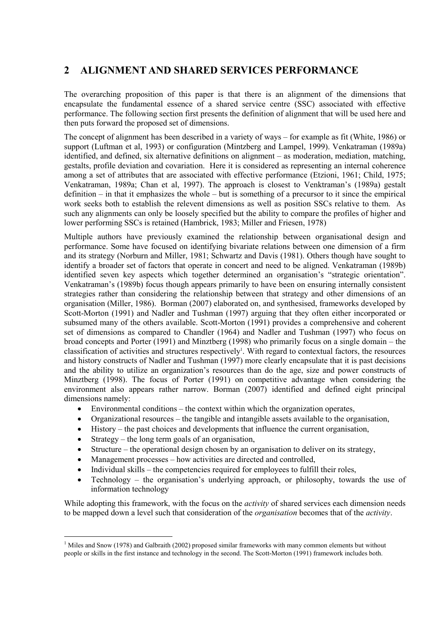# **2 ALIGNMENT AND SHARED SERVICES PERFORMANCE**

The overarching proposition of this paper is that there is an alignment of the dimensions that encapsulate the fundamental essence of a shared service centre (SSC) associated with effective performance. The following section first presents the definition of alignment that will be used here and then puts forward the proposed set of dimensions.

The concept of alignment has been described in a variety of ways – for example as fit (White, 1986) or support (Luftman et al, 1993) or configuration (Mintzberg and Lampel, 1999). Venkatraman (1989a) identified, and defined, six alternative definitions on alignment – as moderation, mediation, matching, gestalts, profile deviation and covariation. Here it is considered as representing an internal coherence among a set of attributes that are associated with effective performance (Etzioni, 1961; Child, 1975; Venkatraman, 1989a; Chan et al, 1997). The approach is closest to Venktraman's (1989a) gestalt definition – in that it emphasizes the whole – but is something of a precursor to it since the empirical work seeks both to establish the relevent dimensions as well as position SSCs relative to them. As such any alignments can only be loosely specified but the ability to compare the profiles of higher and lower performing SSCs is retained (Hambrick, 1983; Miller and Friesen, 1978)

Multiple authors have previously examined the relationship between organisational design and performance. Some have focused on identifying bivariate relations between one dimension of a firm and its strategy (Norburn and Miller, 1981; Schwartz and Davis (1981). Others though have sought to identify a broader set of factors that operate in concert and need to be aligned. Venkatraman (1989b) identified seven key aspects which together determined an organisation's "strategic orientation". Venkatraman's (1989b) focus though appears primarily to have been on ensuring internally consistent strategies rather than considering the relationship between that strategy and other dimensions of an organisation (Miller, 1986). Borman (2007) elaborated on, and synthesised, frameworks developed by Scott-Morton (1991) and Nadler and Tushman (1997) arguing that they often either incorporated or subsumed many of the others available. Scott-Morton (1991) provides a comprehensive and coherent set of dimensions as compared to Chandler (1964) and Nadler and Tushman (1997) who focus on broad concepts and Porter (1991) and Minztberg (1998) who primarily focus on a single domain – the classification of activities and structures respectively<sup>1</sup>. With regard to contextual factors, the resources and history constructs of Nadler and Tushman (1997) more clearly encapsulate that it is past decisions and the ability to utilize an organization's resources than do the age, size and power constructs of Minztberg (1998). The focus of Porter (1991) on competitive advantage when considering the environment also appears rather narrow. Borman (2007) identified and defined eight principal dimensions namely:

- Environmental conditions the context within which the organization operates,
- Organizational resources the tangible and intangible assets available to the organisation,
- History the past choices and developments that influence the current organisation,
- Strategy the long term goals of an organisation,
- Structure the operational design chosen by an organisation to deliver on its strategy,
- Management processes how activities are directed and controlled,
- Individual skills the competencies required for employees to fulfill their roles,
- Technology the organisation's underlying approach, or philosophy, towards the use of information technology

While adopting this framework, with the focus on the *activity* of shared services each dimension needs to be mapped down a level such that consideration of the *organisation* becomes that of the *activity*.

<sup>&</sup>lt;sup>1</sup> Miles and Snow (1978) and Galbraith (2002) proposed similar frameworks with many common elements but without people or skills in the first instance and technology in the second. The Scott-Morton (1991) framework includes both.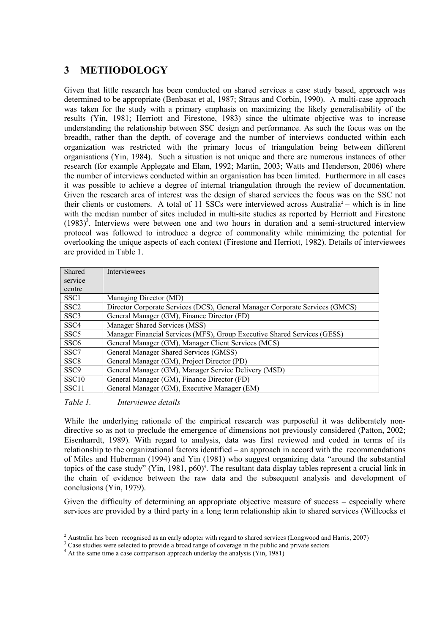# **3 METHODOLOGY**

Given that little research has been conducted on shared services a case study based, approach was determined to be appropriate (Benbasat et al, 1987; Straus and Corbin, 1990). A multi-case approach was taken for the study with a primary emphasis on maximizing the likely generalisability of the results (Yin, 1981; Herriott and Firestone, 1983) since the ultimate objective was to increase understanding the relationship between SSC design and performance. As such the focus was on the breadth, rather than the depth, of coverage and the number of interviews conducted within each organization was restricted with the primary locus of triangulation being between different organisations (Yin, 1984). Such a situation is not unique and there are numerous instances of other research (for example Applegate and Elam, 1992; Martin, 2003; Watts and Henderson, 2006) where the number of interviews conducted within an organisation has been limited. Furthermore in all cases it was possible to achieve a degree of internal triangulation through the review of documentation. Given the research area of interest was the design of shared services the focus was on the SSC not their clients or customers. A total of 11 SSCs were interviewed across Australia<sup>2</sup> – which is in line with the median number of sites included in multi-site studies as reported by Herriott and Firestone  $(1983)^3$ . Interviews were between one and two hours in duration and a semi-structured interview protocol was followed to introduce a degree of commonality while minimizing the potential for overlooking the unique aspects of each context (Firestone and Herriott, 1982). Details of interviewees are provided in Table 1.

| Shared            | Interviewees                                                                 |
|-------------------|------------------------------------------------------------------------------|
| service           |                                                                              |
| centre            |                                                                              |
| SSC <sub>1</sub>  | Managing Director (MD)                                                       |
| SSC <sub>2</sub>  | Director Corporate Services (DCS), General Manager Corporate Services (GMCS) |
| SSC <sub>3</sub>  | General Manager (GM), Finance Director (FD)                                  |
| SSC <sub>4</sub>  | Manager Shared Services (MSS)                                                |
| SSC <sub>5</sub>  | Manager Financial Services (MFS), Group Executive Shared Services (GESS)     |
| SSC <sub>6</sub>  | General Manager (GM), Manager Client Services (MCS)                          |
| SSC7              | General Manager Shared Services (GMSS)                                       |
| SSC <sub>8</sub>  | General Manager (GM), Project Director (PD)                                  |
| SSC <sub>9</sub>  | General Manager (GM), Manager Service Delivery (MSD)                         |
| SSC <sub>10</sub> | General Manager (GM), Finance Director (FD)                                  |
| SSC <sub>11</sub> | General Manager (GM), Executive Manager (EM)                                 |

*Table 1. Interviewee details* 

While the underlying rationale of the empirical research was purposeful it was deliberately nondirective so as not to preclude the emergence of dimensions not previously considered (Patton, 2002; Eisenharrdt, 1989). With regard to analysis, data was first reviewed and coded in terms of its relationship to the organizational factors identified – an approach in accord with the recommendations of Miles and Huberman (1994) and Yin (1981) who suggest organizing data "around the substantial topics of the case study" (Yin, 1981, p60)<sup>4</sup>. The resultant data display tables represent a crucial link in the chain of evidence between the raw data and the subsequent analysis and development of conclusions (Yin, 1979).

Given the difficulty of determining an appropriate objective measure of success – especially where services are provided by a third party in a long term relationship akin to shared services (Willcocks et

<sup>&</sup>lt;sup>2</sup> Australia has been recognised as an early adopter with regard to shared services (Longwood and Harris, 2007)

 $3 \text{ Case studies were selected to provide a broad range of coverage in the public and private sectors.}$ 

<sup>&</sup>lt;sup>4</sup> At the same time a case comparison approach underlay the analysis (Yin, 1981)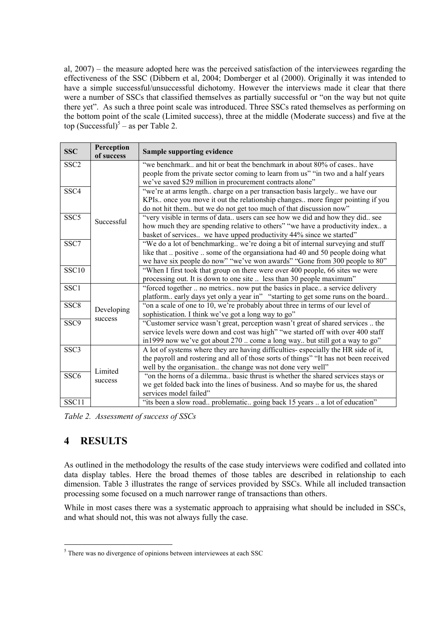al, 2007) – the measure adopted here was the perceived satisfaction of the interviewees regarding the effectiveness of the SSC (Dibbern et al, 2004; Domberger et al (2000). Originally it was intended to have a simple successful/unsuccessful dichotomy. However the interviews made it clear that there were a number of SSCs that classified themselves as partially successful or "on the way but not quite there yet". As such a three point scale was introduced. Three SSCs rated themselves as performing on the bottom point of the scale (Limited success), three at the middle (Moderate success) and five at the top (Successful)<sup>5</sup> – as per Table 2.

| <b>SSC</b>       | Perception<br>of success | Sample supporting evidence                                                            |  |  |  |
|------------------|--------------------------|---------------------------------------------------------------------------------------|--|--|--|
| SSC <sub>2</sub> |                          | "we benchmark, and hit or beat the benchmark in about 80% of cases, have              |  |  |  |
|                  |                          | people from the private sector coming to learn from us" "in two and a half years      |  |  |  |
|                  |                          | we've saved \$29 million in procurement contracts alone"                              |  |  |  |
| SSC <sub>4</sub> |                          | "we're at arms length charge on a per transaction basis largely we have our           |  |  |  |
|                  | Successful               | KPIs once you move it out the relationship changes more finger pointing if you        |  |  |  |
|                  |                          | do not hit them but we do not get too much of that discussion now"                    |  |  |  |
| SSC <sub>5</sub> |                          | "very visible in terms of data users can see how we did and how they did see          |  |  |  |
|                  |                          | how much they are spending relative to others" "we have a productivity index a        |  |  |  |
|                  |                          | basket of services we have upped productivity 44% since we started"                   |  |  |  |
| SSC              |                          | "We do a lot of benchmarking we're doing a bit of internal surveying and stuff        |  |  |  |
|                  |                          | like that  positive  some of the organization had 40 and 50 people doing what         |  |  |  |
|                  |                          | we have six people do now" "we've won awards" "Gone from 300 people to 80"            |  |  |  |
| <b>SSC10</b>     |                          | "When I first took that group on there were over 400 people, 66 sites we were         |  |  |  |
|                  |                          | processing out. It is down to one site  less than 30 people maximum"                  |  |  |  |
| SSC <sub>1</sub> |                          | "forced together  no metrics now put the basics in place a service delivery           |  |  |  |
|                  |                          | platform early days yet only a year in" "starting to get some runs on the board       |  |  |  |
| SSC <sub>8</sub> | Developing               | "on a scale of one to 10, we're probably about three in terms of our level of         |  |  |  |
|                  | success                  | sophistication. I think we've got a long way to go"                                   |  |  |  |
| SSC <sub>9</sub> |                          | "Customer service wasn't great, perception wasn't great of shared services  the       |  |  |  |
|                  |                          | service levels were down and cost was high" "we started off with over 400 staff       |  |  |  |
|                  |                          | in1999 now we've got about 270  come a long way but still got a way to go"            |  |  |  |
| SSC <sub>3</sub> |                          | A lot of systems where they are having difficulties-especially the HR side of it,     |  |  |  |
|                  |                          | the payroll and rostering and all of those sorts of things" "It has not been received |  |  |  |
|                  | Limited<br>success       | well by the organisation the change was not done very well"                           |  |  |  |
| SSC <sub>6</sub> |                          | "on the horns of a dilemma basic thrust is whether the shared services stays or       |  |  |  |
|                  |                          | we get folded back into the lines of business. And so maybe for us, the shared        |  |  |  |
|                  |                          | services model failed"                                                                |  |  |  |
| SSC11            |                          | "its been a slow road problematic going back 15 years  a lot of education"            |  |  |  |

*Table 2. Assessment of success of SSCs* 

# **4 RESULTS**

As outlined in the methodology the results of the case study interviews were codified and collated into data display tables. Here the broad themes of those tables are described in relationship to each dimension. Table 3 illustrates the range of services provided by SSCs. While all included transaction processing some focused on a much narrower range of transactions than others.

While in most cases there was a systematic approach to appraising what should be included in SSCs, and what should not, this was not always fully the case.

<sup>&</sup>lt;sup>5</sup> There was no divergence of opinions between interviewees at each SSC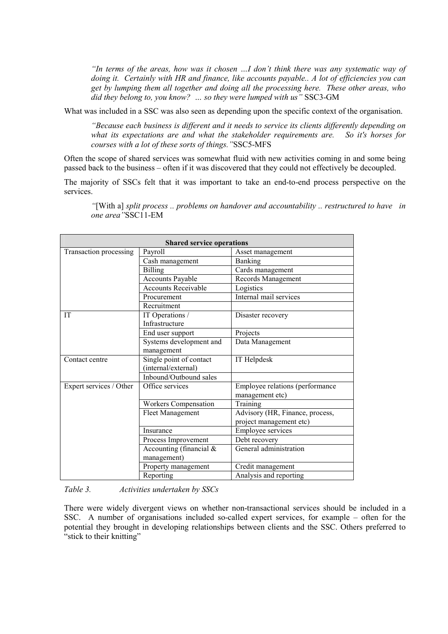*"In terms of the areas, how was it chosen …I don't think there was any systematic way of doing it. Certainly with HR and finance, like accounts payable.. A lot of efficiencies you can get by lumping them all together and doing all the processing here. These other areas, who did they belong to, you know? … so they were lumped with us"* SSC3-GM

What was included in a SSC was also seen as depending upon the specific context of the organisation.

*"Because each business is different and it needs to service its clients differently depending on what its expectations are and what the stakeholder requirements are. So it's horses for courses with a lot of these sorts of things."*SSC5-MFS

Often the scope of shared services was somewhat fluid with new activities coming in and some being passed back to the business – often if it was discovered that they could not effectively be decoupled.

The majority of SSCs felt that it was important to take an end-to-end process perspective on the services.

| <b>Shared service operations</b> |                             |                                 |  |  |  |  |  |  |  |
|----------------------------------|-----------------------------|---------------------------------|--|--|--|--|--|--|--|
| Transaction processing           | Payroll                     | Asset management                |  |  |  |  |  |  |  |
|                                  | Cash management             | <b>Banking</b>                  |  |  |  |  |  |  |  |
|                                  | <b>Billing</b>              | Cards management                |  |  |  |  |  |  |  |
|                                  | <b>Accounts Payable</b>     | Records Management              |  |  |  |  |  |  |  |
|                                  | <b>Accounts Receivable</b>  | Logistics                       |  |  |  |  |  |  |  |
|                                  | Procurement                 | Internal mail services          |  |  |  |  |  |  |  |
|                                  | Recruitment                 |                                 |  |  |  |  |  |  |  |
| <b>IT</b>                        | IT Operations /             | Disaster recovery               |  |  |  |  |  |  |  |
|                                  | Infrastructure              |                                 |  |  |  |  |  |  |  |
|                                  | End user support            | Projects                        |  |  |  |  |  |  |  |
|                                  | Systems development and     | Data Management                 |  |  |  |  |  |  |  |
|                                  | management                  |                                 |  |  |  |  |  |  |  |
| Contact centre                   | Single point of contact     | IT Helpdesk                     |  |  |  |  |  |  |  |
|                                  | (internal/external)         |                                 |  |  |  |  |  |  |  |
|                                  | Inbound/Outbound sales      |                                 |  |  |  |  |  |  |  |
| Expert services / Other          | Office services             | Employee relations (performance |  |  |  |  |  |  |  |
|                                  |                             | management etc)                 |  |  |  |  |  |  |  |
|                                  | <b>Workers Compensation</b> | Training                        |  |  |  |  |  |  |  |
|                                  | Fleet Management            | Advisory (HR, Finance, process, |  |  |  |  |  |  |  |
|                                  |                             | project management etc)         |  |  |  |  |  |  |  |
|                                  | Insurance                   | <b>Employee services</b>        |  |  |  |  |  |  |  |
|                                  | Process Improvement         | Debt recovery                   |  |  |  |  |  |  |  |
|                                  | Accounting (financial $&$   | General administration          |  |  |  |  |  |  |  |
|                                  | management)                 |                                 |  |  |  |  |  |  |  |
|                                  | Property management         | Credit management               |  |  |  |  |  |  |  |
|                                  | Reporting                   | Analysis and reporting          |  |  |  |  |  |  |  |

*"*[With a] *split process .. problems on handover and accountability .. restructured to have in one area"*SSC11-EM

#### *Table 3. Activities undertaken by SSCs*

There were widely divergent views on whether non-transactional services should be included in a SSC. A number of organisations included so-called expert services, for example – often for the potential they brought in developing relationships between clients and the SSC. Others preferred to "stick to their knitting"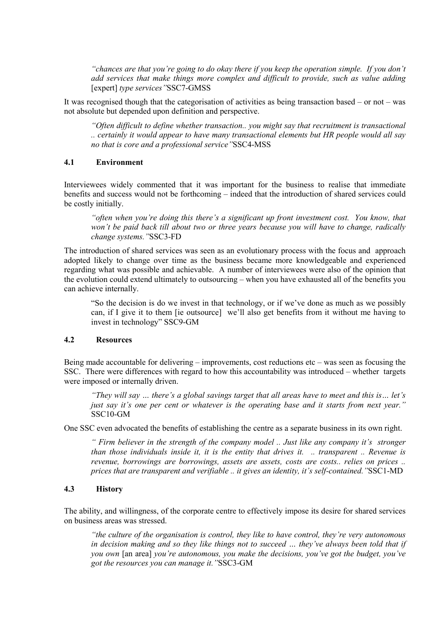*"chances are that you're going to do okay there if you keep the operation simple. If you don't add services that make things more complex and difficult to provide, such as value adding*  [expert] *type services"*SSC7-GMSS

It was recognised though that the categorisation of activities as being transaction based – or not – was not absolute but depended upon definition and perspective.

*"Often difficult to define whether transaction.. you might say that recruitment is transactional .. certainly it would appear to have many transactional elements but HR people would all say no that is core and a professional service"*SSC4-MSS

#### **4.1 Environment**

Interviewees widely commented that it was important for the business to realise that immediate benefits and success would not be forthcoming – indeed that the introduction of shared services could be costly initially.

*"often when you're doing this there's a significant up front investment cost. You know, that won't be paid back till about two or three years because you will have to change, radically change systems."*SSC3-FD

The introduction of shared services was seen as an evolutionary process with the focus and approach adopted likely to change over time as the business became more knowledgeable and experienced regarding what was possible and achievable. A number of interviewees were also of the opinion that the evolution could extend ultimately to outsourcing – when you have exhausted all of the benefits you can achieve internally.

"So the decision is do we invest in that technology, or if we've done as much as we possibly can, if I give it to them [ie outsource] we'll also get benefits from it without me having to invest in technology" SSC9-GM

#### **4.2 Resources**

Being made accountable for delivering – improvements, cost reductions  $etc$  – was seen as focusing the SSC. There were differences with regard to how this accountability was introduced – whether targets were imposed or internally driven.

*"They will say … there's a global savings target that all areas have to meet and this is… let's just say it's one per cent or whatever is the operating base and it starts from next year."*  SSC10-GM

One SSC even advocated the benefits of establishing the centre as a separate business in its own right.

*" Firm believer in the strength of the company model .. Just like any company it's stronger than those individuals inside it, it is the entity that drives it. .. transparent .. Revenue is revenue, borrowings are borrowings, assets are assets, costs are costs.. relies on prices .. prices that are transparent and verifiable .. it gives an identity, it's self-contained."*SSC1-MD

#### **4.3 History**

The ability, and willingness, of the corporate centre to effectively impose its desire for shared services on business areas was stressed.

*"the culture of the organisation is control, they like to have control, they're very autonomous in decision making and so they like things not to succeed … they've always been told that if you own* [an area] *you're autonomous, you make the decisions, you've got the budget, you've got the resources you can manage it."*SSC3-GM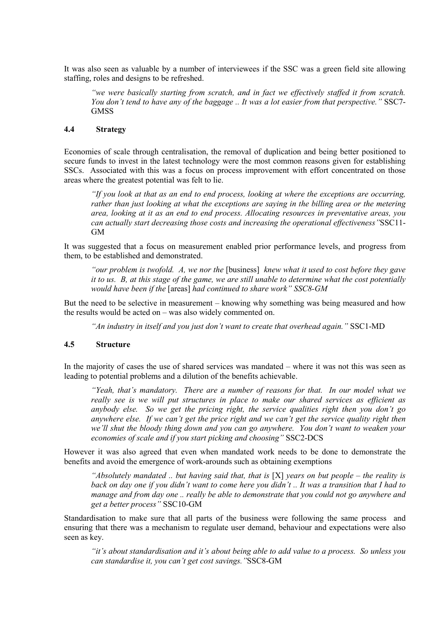It was also seen as valuable by a number of interviewees if the SSC was a green field site allowing staffing, roles and designs to be refreshed.

*"we were basically starting from scratch, and in fact we effectively staffed it from scratch. You don't tend to have any of the baggage .. It was a lot easier from that perspective."* SSC7- **GMSS** 

#### **4.4 Strategy**

Economies of scale through centralisation, the removal of duplication and being better positioned to secure funds to invest in the latest technology were the most common reasons given for establishing SSCs. Associated with this was a focus on process improvement with effort concentrated on those areas where the greatest potential was felt to lie.

*"If you look at that as an end to end process, looking at where the exceptions are occurring, rather than just looking at what the exceptions are saying in the billing area or the metering area, looking at it as an end to end process. Allocating resources in preventative areas, you can actually start decreasing those costs and increasing the operational effectiveness"*SSC11- GM

It was suggested that a focus on measurement enabled prior performance levels, and progress from them, to be established and demonstrated.

*"our problem is twofold. A, we nor the* [business] *knew what it used to cost before they gave it to us. B, at this stage of the game, we are still unable to determine what the cost potentially would have been if the* [areas] *had continued to share work" SSC8-GM* 

But the need to be selective in measurement – knowing why something was being measured and how the results would be acted on – was also widely commented on.

*"An industry in itself and you just don't want to create that overhead again."* SSC1-MD

#### **4.5 Structure**

In the majority of cases the use of shared services was mandated – where it was not this was seen as leading to potential problems and a dilution of the benefits achievable.

*"Yeah, that's mandatory. There are a number of reasons for that. In our model what we really see is we will put structures in place to make our shared services as efficient as anybody else. So we get the pricing right, the service qualities right then you don't go anywhere else. If we can't get the price right and we can't get the service quality right then we'll shut the bloody thing down and you can go anywhere. You don't want to weaken your economies of scale and if you start picking and choosing"* SSC2-DCS

However it was also agreed that even when mandated work needs to be done to demonstrate the benefits and avoid the emergence of work-arounds such as obtaining exemptions

*"Absolutely mandated .. but having said that, that is* [X] *years on but people – the reality is back on day one if you didn't want to come here you didn't .. It was a transition that I had to manage and from day one .. really be able to demonstrate that you could not go anywhere and get a better process"* SSC10-GM

Standardisation to make sure that all parts of the business were following the same process and ensuring that there was a mechanism to regulate user demand, behaviour and expectations were also seen as key.

*"it's about standardisation and it's about being able to add value to a process. So unless you can standardise it, you can't get cost savings."*SSC8-GM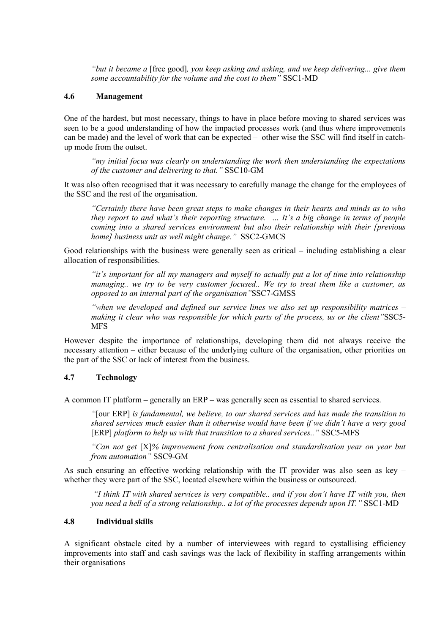*"but it became a* [free good]*, you keep asking and asking, and we keep delivering... give them some accountability for the volume and the cost to them"* SSC1-MD

#### **4.6 Management**

One of the hardest, but most necessary, things to have in place before moving to shared services was seen to be a good understanding of how the impacted processes work (and thus where improvements can be made) and the level of work that can be expected – other wise the SSC will find itself in catchup mode from the outset.

*"my initial focus was clearly on understanding the work then understanding the expectations of the customer and delivering to that."* SSC10-GM

It was also often recognised that it was necessary to carefully manage the change for the employees of the SSC and the rest of the organisation.

*"Certainly there have been great steps to make changes in their hearts and minds as to who they report to and what's their reporting structure. … It's a big change in terms of people coming into a shared services environment but also their relationship with their [previous home] business unit as well might change."* SSC2-GMCS

Good relationships with the business were generally seen as critical – including establishing a clear allocation of responsibilities.

*"it's important for all my managers and myself to actually put a lot of time into relationship managing.. we try to be very customer focused.. We try to treat them like a customer, as opposed to an internal part of the organisation"*SSC7-GMSS

*"when we developed and defined our service lines we also set up responsibility matrices – making it clear who was responsible for which parts of the process, us or the client"*SSC5- **MFS** 

However despite the importance of relationships, developing them did not always receive the necessary attention – either because of the underlying culture of the organisation, other priorities on the part of the SSC or lack of interest from the business.

#### **4.7 Technology**

A common IT platform – generally an ERP – was generally seen as essential to shared services.

*"*[our ERP] *is fundamental, we believe, to our shared services and has made the transition to shared services much easier than it otherwise would have been if we didn't have a very good*  [ERP] *platform to help us with that transition to a shared services.."* SSC5-MFS

*"Can not get* [X]*% improvement from centralisation and standardisation year on year but from automation"* SSC9-GM

As such ensuring an effective working relationship with the IT provider was also seen as key – whether they were part of the SSC, located elsewhere within the business or outsourced.

 *"I think IT with shared services is very compatible.. and if you don't have IT with you, then you need a hell of a strong relationship.. a lot of the processes depends upon IT."* SSC1-MD

#### **4.8 Individual skills**

A significant obstacle cited by a number of interviewees with regard to cystallising efficiency improvements into staff and cash savings was the lack of flexibility in staffing arrangements within their organisations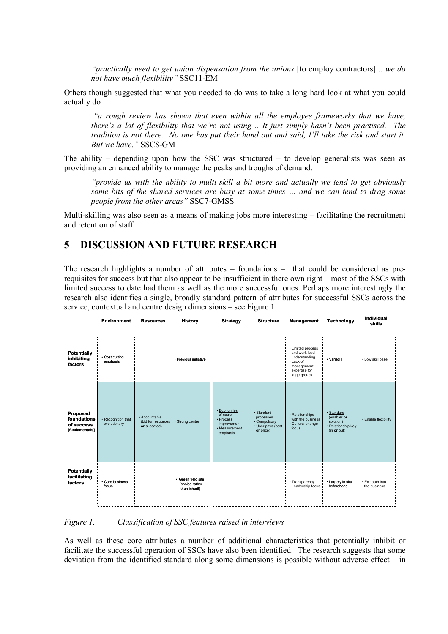*"practically need to get union dispensation from the unions* [to employ contractors] *.. we do not have much flexibility"* SSC11-EM

Others though suggested that what you needed to do was to take a long hard look at what you could actually do

 *"a rough review has shown that even within all the employee frameworks that we have, there's a lot of flexibility that we're not using .. It just simply hasn't been practised. The tradition is not there. No one has put their hand out and said, I'll take the risk and start it. But we have."* SSC8-GM

The ability – depending upon how the SSC was structured – to develop generalists was seen as providing an enhanced ability to manage the peaks and troughs of demand.

*"provide us with the ability to multi-skill a bit more and actually we tend to get obviously some bits of the shared services are busy at some times … and we can tend to drag some people from the other areas"* SSC7-GMSS

Multi-skilling was also seen as a means of making jobs more interesting – facilitating the recruitment and retention of staff

### **5 DISCUSSION AND FUTURE RESEARCH**

The research highlights a number of attributes – foundations – that could be considered as prerequisites for success but that also appear to be insufficient in there own right – most of the SSCs with limited success to date had them as well as the more successful ones. Perhaps more interestingly the research also identifies a single, broadly standard pattern of attributes for successful SSCs across the service, contextual and centre design dimensions – see Figure 1.

|                                                         | <b>Environment</b>                 | <b>Resources</b>                                     | <b>History</b>                                      | <b>Strategy</b>                                                                  | <b>Structure</b>                                                          | <b>Management</b>                                                                                                | <b>Technology</b>                                                           | Individual<br>skills             |
|---------------------------------------------------------|------------------------------------|------------------------------------------------------|-----------------------------------------------------|----------------------------------------------------------------------------------|---------------------------------------------------------------------------|------------------------------------------------------------------------------------------------------------------|-----------------------------------------------------------------------------|----------------------------------|
| <b>Potentially</b><br>inhibiting<br>factors             | • Cost cutting<br>emphasis         |                                                      | Previous initiative                                 |                                                                                  |                                                                           | • Limited process<br>and work level<br>understanding<br>• Lack of<br>management<br>expertise for<br>large groups | • Varied IT                                                                 | • Low skill base                 |
| Proposed<br>foundations<br>of success<br>[fundamentals] | • Recognition that<br>evolutionary | · Accountable<br>(bid for resources<br>or allocated) | · Strong centre                                     | • Economies<br>of scale<br>· Process<br>improvement<br>• Measurement<br>emphasis | · Standard<br>processes<br>• Compulsory<br>• User pays (cost<br>or price) | • Relationships<br>with the business<br>· Cultural change<br>focus                                               | · Standard<br>(enabler or<br>solution)<br>· Relationship key<br>(in or out) | • Enable flexibility             |
| <b>Potentially</b><br>facilitating<br>factors           | • Core business<br>focus           |                                                      | Green field site<br>(choice rather<br>than inherit) | . .<br>$\mathbf{L}$<br>' '<br>н.                                                 |                                                                           | • Transparency<br>• Leadership focus                                                                             | • Largely in situ<br>beforehand                                             | · Exit path into<br>the business |

*Figure 1. Classification of SSC features raised in interviews* 

As well as these core attributes a number of additional characteristics that potentially inhibit or facilitate the successful operation of SSCs have also been identified. The research suggests that some deviation from the identified standard along some dimensions is possible without adverse effect – in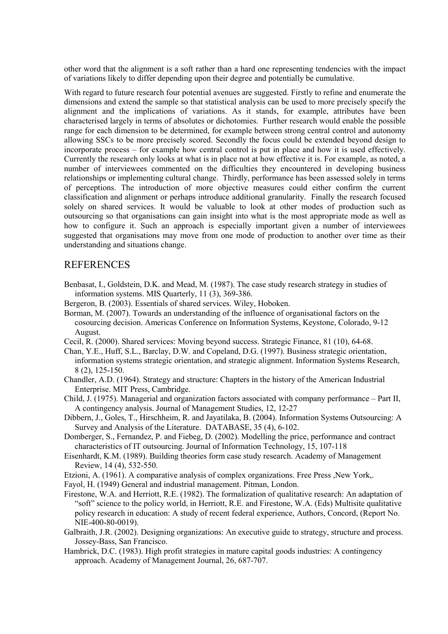other word that the alignment is a soft rather than a hard one representing tendencies with the impact of variations likely to differ depending upon their degree and potentially be cumulative.

With regard to future research four potential avenues are suggested. Firstly to refine and enumerate the dimensions and extend the sample so that statistical analysis can be used to more precisely specify the alignment and the implications of variations. As it stands, for example, attributes have been characterised largely in terms of absolutes or dichotomies. Further research would enable the possible range for each dimension to be determined, for example between strong central control and autonomy allowing SSCs to be more precisely scored. Secondly the focus could be extended beyond design to incorporate process – for example how central control is put in place and how it is used effectively. Currently the research only looks at what is in place not at how effective it is. For example, as noted, a number of interviewees commented on the difficulties they encountered in developing business relationships or implementing cultural change. Thirdly, performance has been assessed solely in terms of perceptions. The introduction of more objective measures could either confirm the current classification and alignment or perhaps introduce additional granularity. Finally the research focused solely on shared services. It would be valuable to look at other modes of production such as outsourcing so that organisations can gain insight into what is the most appropriate mode as well as how to configure it. Such an approach is especially important given a number of interviewees suggested that organisations may move from one mode of production to another over time as their understanding and situations change.

### **REFERENCES**

- Benbasat, I., Goldstein, D.K. and Mead, M. (1987). The case study research strategy in studies of information systems. MIS Quarterly, 11 (3), 369-386.
- Bergeron, B. (2003). Essentials of shared services. Wiley, Hoboken.
- Borman, M. (2007). Towards an understanding of the influence of organisational factors on the cosourcing decision. Americas Conference on Information Systems, Keystone, Colorado, 9-12 August.
- Cecil, R. (2000). Shared services: Moving beyond success. Strategic Finance, 81 (10), 64-68.
- Chan, Y.E., Huff, S.L., Barclay, D.W. and Copeland, D.G. (1997). Business strategic orientation, information systems strategic orientation, and strategic alignment. Information Systems Research, 8 (2), 125-150.
- Chandler, A.D. (1964). Strategy and structure: Chapters in the history of the American Industrial Enterprise. MIT Press, Cambridge.
- Child, J. (1975). Managerial and organization factors associated with company performance Part II, A contingency analysis. Journal of Management Studies, 12, 12-27
- Dibbern, J., Goles, T., Hirschheim, R. and Jayatilaka, B. (2004). Information Systems Outsourcing: A Survey and Analysis of the Literature. DATABASE, 35 (4), 6-102.
- Domberger, S., Fernandez, P. and Fiebeg, D. (2002). Modelling the price, performance and contract characteristics of IT outsourcing. Journal of Information Technology, 15, 107-118
- Eisenhardt, K.M. (1989). Building theories form case study research. Academy of Management Review, 14 (4), 532-550.
- Etzioni, A. (1961). A comparative analysis of complex organizations. Free Press ,New York,.
- Fayol, H. (1949) General and industrial management. Pitman, London.
- Firestone, W.A. and Herriott, R.E. (1982). The formalization of qualitative research: An adaptation of "soft" science to the policy world, in Herriott, R.E. and Firestone, W.A. (Eds) Multisite qualitative policy research in education: A study of recent federal experience, Authors, Concord, (Report No. NIE-400-80-0019).
- Galbraith, J.R. (2002). Designing organizations: An executive guide to strategy, structure and process. Jossey-Bass, San Francisco.
- Hambrick, D.C. (1983). High profit strategies in mature capital goods industries: A contingency approach. Academy of Management Journal, 26, 687-707.